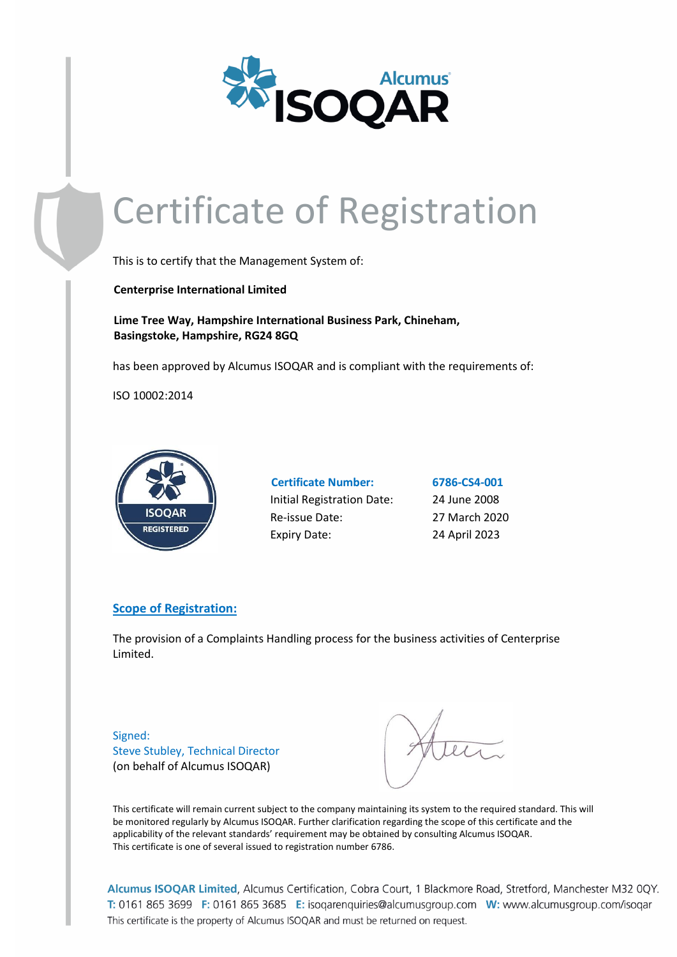

## Certificate of Registration

This is to certify that the Management System of:

 **Centerprise International Limited**

 **Lime Tree Way, Hampshire International Business Park, Chineham, Basingstoke, Hampshire, RG24 8GQ**

has been approved by Alcumus ISOQAR and is compliant with the requirements of:

ISO 10002:2014



| <b>Certificate Number:</b> |
|----------------------------|
| Initial Registration Date: |
| Re-issue Date:             |
| <b>Expiry Date:</b>        |

**Certificate Number: 6786-CS4-001** 24 June 2008 27 March 2020 24 April 2023

## **Scope of Registration:**

The provision of a Complaints Handling process for the business activities of Centerprise Limited.

Signed: Steve Stubley, Technical Director (on behalf of Alcumus ISOQAR)

This certificate will remain current subject to the company maintaining its system to the required standard. This will be monitored regularly by Alcumus ISOQAR. Further clarification regarding the scope of this certificate and the applicability of the relevant standards' requirement may be obtained by consulting Alcumus ISOQAR. This certificate is one of several issued to registration number 6786.

Alcumus ISOQAR Limited, Alcumus Certification, Cobra Court, 1 Blackmore Road, Stretford, Manchester M32 0QY. T: 0161 865 3699 F: 0161 865 3685 E: isoqarenquiries@alcumusgroup.com W: www.alcumusgroup.com/isoqar This certificate is the property of Alcumus ISOQAR and must be returned on request.